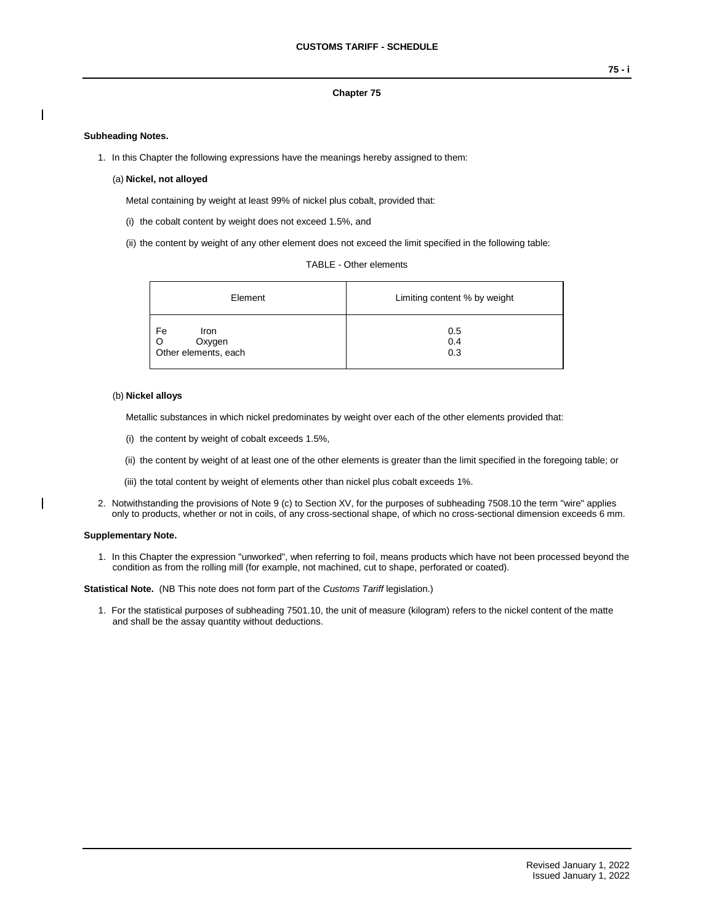## **Chapter 75**

## **Subheading Notes.**

- 1. In this Chapter the following expressions have the meanings hereby assigned to them:
	- (a) **Nickel, not alloyed**

Metal containing by weight at least 99% of nickel plus cobalt, provided that:

- (i) the cobalt content by weight does not exceed 1.5%, and
- (ii) the content by weight of any other element does not exceed the limit specified in the following table:

|  |  | <b>TABLE - Other elements</b> |
|--|--|-------------------------------|
|--|--|-------------------------------|

| Element                                      | Limiting content % by weight |  |  |  |  |
|----------------------------------------------|------------------------------|--|--|--|--|
| Fe<br>Iron<br>Oxygen<br>Other elements, each | 0.5<br>0.4<br>0.3            |  |  |  |  |

### (b) **Nickel alloys**

Metallic substances in which nickel predominates by weight over each of the other elements provided that:

- (i) the content by weight of cobalt exceeds 1.5%,
- (ii) the content by weight of at least one of the other elements is greater than the limit specified in the foregoing table; or
- (iii) the total content by weight of elements other than nickel plus cobalt exceeds 1%.
- 2. Notwithstanding the provisions of Note 9 (c) to Section XV, for the purposes of subheading 7508.10 the term "wire" applies only to products, whether or not in coils, of any cross-sectional shape, of which no cross-sectional dimension exceeds 6 mm.

#### **Supplementary Note.**

1. In this Chapter the expression "unworked", when referring to foil, means products which have not been processed beyond the condition as from the rolling mill (for example, not machined, cut to shape, perforated or coated).

**Statistical Note.** (NB This note does not form part of the *Customs Tariff* legislation.)

1. For the statistical purposes of subheading 7501.10, the unit of measure (kilogram) refers to the nickel content of the matte and shall be the assay quantity without deductions.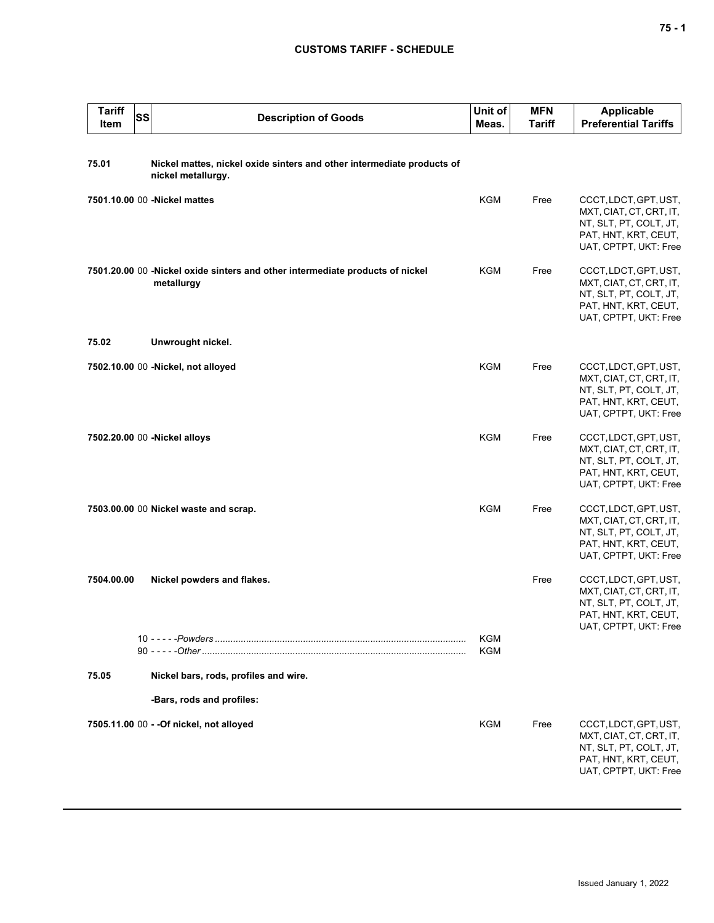# **CUSTOMS TARIFF - SCHEDULE**

| <b>Tariff</b><br>Item | SS | <b>Description of Goods</b>                                                                  | Unit of<br>Meas. | <b>MFN</b><br><b>Tariff</b> | <b>Applicable</b><br><b>Preferential Tariffs</b>                                                                            |
|-----------------------|----|----------------------------------------------------------------------------------------------|------------------|-----------------------------|-----------------------------------------------------------------------------------------------------------------------------|
| 75.01                 |    | Nickel mattes, nickel oxide sinters and other intermediate products of<br>nickel metallurgy. |                  |                             |                                                                                                                             |
|                       |    | 7501.10.00 00 -Nickel mattes                                                                 | KGM              | Free                        | CCCT, LDCT, GPT, UST,<br>MXT, CIAT, CT, CRT, IT,<br>NT, SLT, PT, COLT, JT,<br>PAT, HNT, KRT, CEUT,<br>UAT, CPTPT, UKT: Free |
|                       |    | 7501.20.00 00 -Nickel oxide sinters and other intermediate products of nickel<br>metallurgy  | KGM              | Free                        | CCCT, LDCT, GPT, UST,<br>MXT, CIAT, CT, CRT, IT,<br>NT, SLT, PT, COLT, JT,<br>PAT, HNT, KRT, CEUT,<br>UAT, CPTPT, UKT: Free |
| 75.02                 |    | Unwrought nickel.                                                                            |                  |                             |                                                                                                                             |
|                       |    | 7502.10.00 00 -Nickel, not alloyed                                                           | <b>KGM</b>       | Free                        | CCCT, LDCT, GPT, UST,<br>MXT, CIAT, CT, CRT, IT,<br>NT, SLT, PT, COLT, JT,<br>PAT, HNT, KRT, CEUT,<br>UAT, CPTPT, UKT: Free |
|                       |    | 7502.20.00 00 - Nickel alloys                                                                | <b>KGM</b>       | Free                        | CCCT, LDCT, GPT, UST,<br>MXT, CIAT, CT, CRT, IT,<br>NT, SLT, PT, COLT, JT,<br>PAT, HNT, KRT, CEUT,<br>UAT, CPTPT, UKT: Free |
|                       |    | 7503.00.00 00 Nickel waste and scrap.                                                        | <b>KGM</b>       | Free                        | CCCT, LDCT, GPT, UST,<br>MXT, CIAT, CT, CRT, IT,<br>NT, SLT, PT, COLT, JT,<br>PAT, HNT, KRT, CEUT,<br>UAT, CPTPT, UKT: Free |
| 7504.00.00            |    | Nickel powders and flakes.                                                                   |                  | Free                        | CCCT, LDCT, GPT, UST,<br>MXT, CIAT, CT, CRT, IT,<br>NT, SLT, PT, COLT, JT,<br>PAT, HNT, KRT, CEUT,<br>UAT, CPTPT, UKT: Free |
|                       |    |                                                                                              | KGM<br>KGM       |                             |                                                                                                                             |
| 75.05                 |    | Nickel bars, rods, profiles and wire.                                                        |                  |                             |                                                                                                                             |
|                       |    | -Bars, rods and profiles:                                                                    |                  |                             |                                                                                                                             |
|                       |    | 7505.11.00 00 - - Of nickel, not alloyed                                                     | <b>KGM</b>       | Free                        | CCCT, LDCT, GPT, UST,<br>MXT, CIAT, CT, CRT, IT,<br>NT, SLT, PT, COLT, JT,<br>PAT, HNT, KRT, CEUT,<br>UAT, CPTPT, UKT: Free |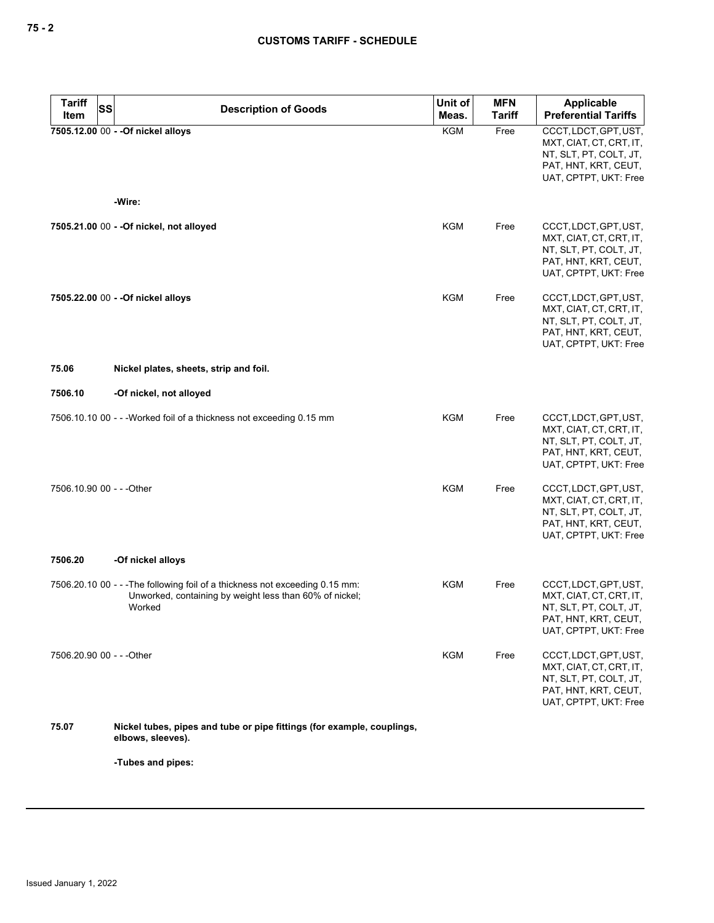| <b>Tariff</b><br><b>SS</b> | <b>Description of Goods</b>                                                                                                                       | Unit of    | <b>MFN</b>    | <b>Applicable</b>                                                                                                           |
|----------------------------|---------------------------------------------------------------------------------------------------------------------------------------------------|------------|---------------|-----------------------------------------------------------------------------------------------------------------------------|
| Item                       |                                                                                                                                                   | Meas.      | <b>Tariff</b> | <b>Preferential Tariffs</b>                                                                                                 |
|                            | 7505.12.00 00 - - Of nickel alloys                                                                                                                | <b>KGM</b> | Free          | CCCT, LDCT, GPT, UST,<br>MXT, CIAT, CT, CRT, IT,<br>NT, SLT, PT, COLT, JT,<br>PAT, HNT, KRT, CEUT,<br>UAT, CPTPT, UKT: Free |
|                            | -Wire:                                                                                                                                            |            |               |                                                                                                                             |
|                            | 7505.21.00 00 - - Of nickel, not alloyed                                                                                                          | KGM        | Free          | CCCT, LDCT, GPT, UST,<br>MXT, CIAT, CT, CRT, IT,<br>NT, SLT, PT, COLT, JT,<br>PAT, HNT, KRT, CEUT,<br>UAT, CPTPT, UKT: Free |
|                            | 7505.22.00 00 - - Of nickel alloys                                                                                                                | KGM        | Free          | CCCT, LDCT, GPT, UST,<br>MXT, CIAT, CT, CRT, IT,<br>NT, SLT, PT, COLT, JT,<br>PAT, HNT, KRT, CEUT,<br>UAT, CPTPT, UKT: Free |
| 75.06                      | Nickel plates, sheets, strip and foil.                                                                                                            |            |               |                                                                                                                             |
| 7506.10                    | -Of nickel, not alloyed                                                                                                                           |            |               |                                                                                                                             |
|                            | 7506.10.10 00 - - - Worked foil of a thickness not exceeding 0.15 mm                                                                              | <b>KGM</b> | Free          | CCCT, LDCT, GPT, UST,<br>MXT, CIAT, CT, CRT, IT,<br>NT, SLT, PT, COLT, JT,<br>PAT, HNT, KRT, CEUT,<br>UAT, CPTPT, UKT: Free |
| 7506.10.90 00 - - - Other  |                                                                                                                                                   | <b>KGM</b> | Free          | CCCT, LDCT, GPT, UST,<br>MXT, CIAT, CT, CRT, IT,<br>NT, SLT, PT, COLT, JT,<br>PAT, HNT, KRT, CEUT,<br>UAT, CPTPT, UKT: Free |
| 7506.20                    | -Of nickel alloys                                                                                                                                 |            |               |                                                                                                                             |
|                            | 7506.20.10 00 - - - The following foil of a thickness not exceeding 0.15 mm:<br>Unworked, containing by weight less than 60% of nickel;<br>Worked | KGM        | Free          | CCCT, LDCT, GPT, UST,<br>MXT, CIAT, CT, CRT, IT,<br>NT, SLT, PT, COLT, JT,<br>PAT, HNT, KRT, CEUT,<br>UAT, CPTPT, UKT: Free |
| 7506.20.90 00 - - - Other  |                                                                                                                                                   | <b>KGM</b> | Free          | CCCT, LDCT, GPT, UST,<br>MXT, CIAT, CT, CRT, IT,<br>NT, SLT, PT, COLT, JT,<br>PAT, HNT, KRT, CEUT,<br>UAT, CPTPT, UKT: Free |
| 75.07                      | Nickel tubes, pipes and tube or pipe fittings (for example, couplings,<br>elbows, sleeves).                                                       |            |               |                                                                                                                             |
|                            | -Tubes and pipes:                                                                                                                                 |            |               |                                                                                                                             |